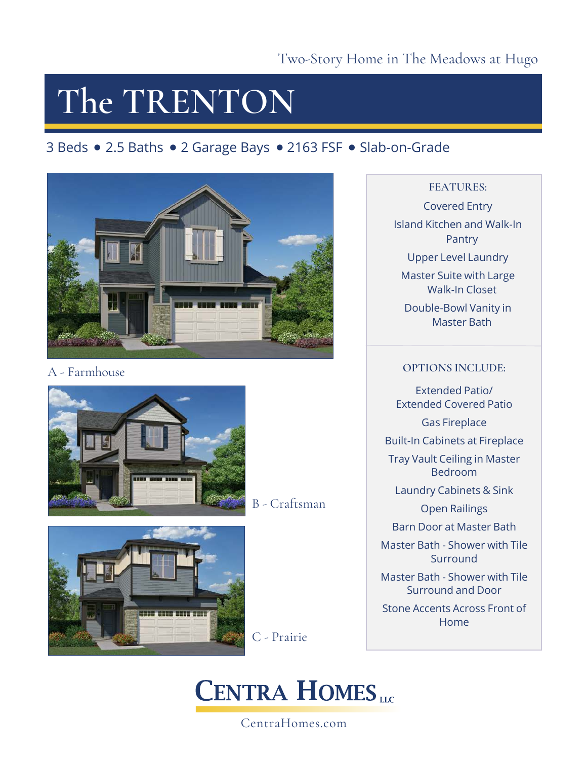### **The TRENTON**

### 3 Beds • 2.5 Baths • 2 Garage Bays • 2163 FSF • Slab-on-Grade



### A - Farmhouse



B - Craftsman



C - Prairie

### **CENTRA HOMES**

### CentraHomes.com

#### **FEATURES:**

Covered Entry Island Kitchen and Walk-In Pantry Upper Level Laundry Master Suite with Large Walk-In Closet Double-Bowl Vanity in Master Bath

#### **OPTIONS INCLUDE:**

Extended Patio/ Extended Covered Patio Gas Fireplace Built-In Cabinets at Fireplace Tray Vault Ceiling in Master Bedroom Laundry Cabinets & Sink Open Railings Barn Door at Master Bath Master Bath - Shower with Tile **Surround** Master Bath - Shower with Tile Surround and Door Stone Accents Across Front of Home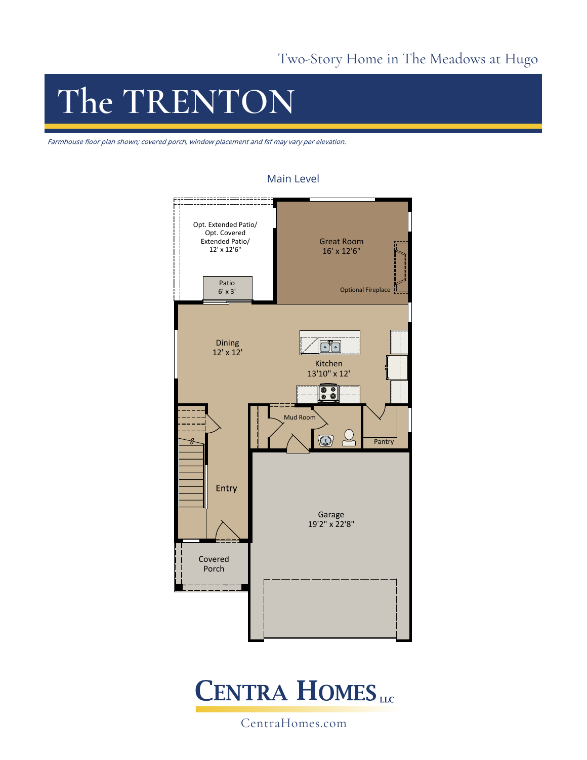# **The TRENTON**

Farmhouse floor plan shown; covered porch, window placement and fsf may vary per elevation.



#### Main Level



CentraHomes.com